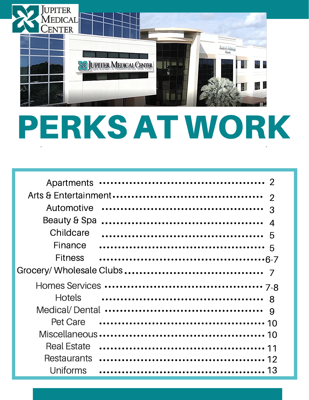

# PERKS AT WORK

| Apartments         |                          |
|--------------------|--------------------------|
|                    | $\mathcal{P}$            |
| Automotive         | $\mathcal{R}$            |
| Beauty & Spa       | $\boldsymbol{\varDelta}$ |
| Childcare          | 5                        |
| Finance            | 5                        |
| <b>Fitness</b>     |                          |
|                    |                          |
|                    |                          |
| <b>Hotels</b>      |                          |
|                    |                          |
| Pet Care           |                          |
|                    |                          |
| <b>Real Estate</b> |                          |
|                    |                          |
| <b>Uniforms</b>    | 13                       |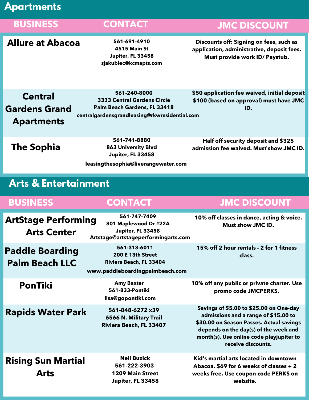| Apartments                                                  |                                                                                                                                     |                                                                                                                         |
|-------------------------------------------------------------|-------------------------------------------------------------------------------------------------------------------------------------|-------------------------------------------------------------------------------------------------------------------------|
| <b>BUSINESS</b>                                             | <b>CONTACT</b>                                                                                                                      | <b>JMC DISCOUNT</b>                                                                                                     |
| <b>Allure at Abacoa</b>                                     | 561-691-4910<br><b>4515 Main St</b><br>Jupiter, FL 33458<br>sjakubiec@kcmapts.com                                                   | Discounts off: Signing on fees, such as<br>application, administrative, deposit fees.<br>Must provide work ID/ Paystub. |
| <b>Central</b><br><b>Gardens Grand</b><br><b>Apartments</b> | 561-240-8000<br><b>3333 Central Gardens Circle</b><br>Palm Beach Gardens, FL 33418<br>centralgardensgrandleasing@rkwresidential.com | \$50 application fee waived, initial deposit<br>\$100 (based on approval) must have JMC<br>ID.                          |
| <b>The Sophia</b>                                           | 561-741-8880<br>863 University Blvd<br>Jupiter, FL 33458<br>leasingthesophia@liverangewater.com                                     | Half off security deposit and \$325<br>admission fee waived. Must show JMC ID.                                          |
| <b>Arts &amp; Entertainment</b>                             |                                                                                                                                     |                                                                                                                         |

| <b>BUSINESS</b>                                  | <b>CONTACT</b>                                                                                    | <b>JMC DISCOUNT</b>                                                                                                                                                                                                                    |
|--------------------------------------------------|---------------------------------------------------------------------------------------------------|----------------------------------------------------------------------------------------------------------------------------------------------------------------------------------------------------------------------------------------|
| <b>ArtStage Performing</b><br><b>Arts Center</b> | 561-747-7409<br>801 Maplewood Dr #22A<br>Jupiter, FL 33458<br>Artstage@artstageperformingarts.com | 10% off classes in dance, acting & voice.<br>Must show JMC ID.                                                                                                                                                                         |
| <b>Paddle Boarding</b><br><b>Palm Beach LLC</b>  | 561-313-6011<br>200 E 13th Street<br>Riviera Beach, FL 33404<br>www.paddleboardingpalmbeach.com   | 15% off 2 hour rentals - 2 for 1 fitness<br>class.                                                                                                                                                                                     |
| <b>PonTiki</b>                                   | <b>Amy Baxter</b><br>561-833-Pontiki<br>lisa@gopontiki.com                                        | 10% off any public or private charter. Use<br>promo code JMCPERKS.                                                                                                                                                                     |
| <b>Rapids Water Park</b>                         | 561-848-6272 x39<br>6566 N. Military Trail<br>Riviera Beach, FL 33407                             | Savings of \$5.00 to \$25.00 on One-day<br>admissions and a range of \$15.00 to<br>\$30.00 on Season Passes. Actual savings<br>depends on the day(s) of the week and<br>month(s). Use online code playjupiter to<br>receive discounts. |
| <b>Rising Sun Martial</b><br><b>Arts</b>         | <b>Neil Buzick</b><br>561-222-3903<br>1209 Main Street<br>Jupiter, FL 33458                       | Kid's martial arts located in downtown<br>Abacoa. \$69 for 6 weeks of classes + 2<br>weeks free. Use coupon code PERKS on<br>website.                                                                                                  |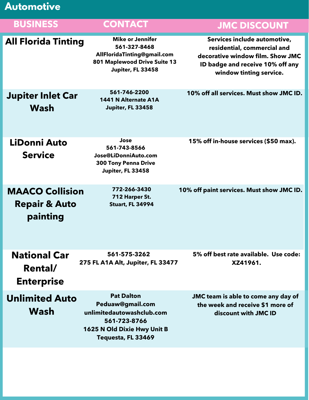**Automotive**

| <b>BUSINESS</b>                                                | <b>CONTACT</b>                                                                                                                          | <b>JMC DISCOUNT</b>                                                                                                                                            |
|----------------------------------------------------------------|-----------------------------------------------------------------------------------------------------------------------------------------|----------------------------------------------------------------------------------------------------------------------------------------------------------------|
| <b>All Florida Tinting</b>                                     | <b>Mike or Jennifer</b><br>561-327-8468<br>AllFloridaTinting@gmail.com<br>801 Maplewood Drive Suite 13<br>Jupiter, FL 33458             | Services include automotive,<br>residential, commercial and<br>decorative window film. Show JMC<br>ID badge and receive 10% off any<br>window tinting service. |
| <b>Jupiter Inlet Car</b><br>Wash                               | 561-746-2200<br>1441 N Alternate A1A<br>Jupiter, FL 33458                                                                               | 10% off all services. Must show JMC ID.                                                                                                                        |
| <b>LiDonni Auto</b><br><b>Service</b>                          | Jose<br>561-743-8566<br>Jose@LiDonniAuto.com<br><b>300 Tony Penna Drive</b><br>Jupiter, FL 33458                                        | 15% off in-house services (\$50 max).                                                                                                                          |
| <b>MAACO Collision</b><br><b>Repair &amp; Auto</b><br>painting | 772-266-3430<br>712 Harper St.<br><b>Stuart, FL 34994</b>                                                                               | 10% off paint services. Must show JMC ID.                                                                                                                      |
| <b>National Car</b><br>Rental/<br><b>Enterprise</b>            | 561-575-3262<br>275 FL A1A Alt, Jupiter, FL 33477                                                                                       | 5% off best rate available. Use code:<br>XZ41961.                                                                                                              |
| <b>Unlimited Auto</b><br>Wash                                  | <b>Pat Dalton</b><br>Peduaw@gmail.com<br>unlimitedautowashclub.com<br>561-723-8766<br>1625 N Old Dixie Hwy Unit B<br>Tequesta, FL 33469 | JMC team is able to come any day of<br>the week and receive \$1 more of<br>discount with JMC ID                                                                |
|                                                                |                                                                                                                                         |                                                                                                                                                                |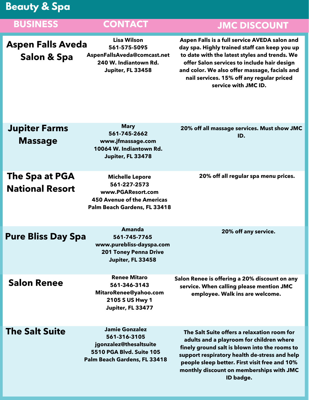| <b>Beauty &amp; Spa</b>                  |                                                                                                                                  |                                                                                                                                                                                                                                                                                                                      |
|------------------------------------------|----------------------------------------------------------------------------------------------------------------------------------|----------------------------------------------------------------------------------------------------------------------------------------------------------------------------------------------------------------------------------------------------------------------------------------------------------------------|
| <b>BUSINESS</b>                          | <b>CONTACT</b>                                                                                                                   | <b>JMC DISCOUNT</b>                                                                                                                                                                                                                                                                                                  |
| <b>Aspen Falls Aveda</b><br>Salon & Spa  | <b>Lisa Wilson</b><br>561-575-5095<br>AspenFallsAveda@comcast.net<br>240 W. Indiantown Rd.<br>Jupiter, FL 33458                  | Aspen Falls is a full service AVEDA salon and<br>day spa. Highly trained staff can keep you up<br>to date with the latest styles and trends. We<br>offer Salon services to include hair design<br>and color. We also offer massage, facials and<br>nail services. 15% off any regular priced<br>service with JMC ID. |
| <b>Jupiter Farms</b><br><b>Massage</b>   | <b>Mary</b><br>561-745-2662<br>www.jfmassage.com<br>10064 W. Indiantown Rd.<br>Jupiter, FL 33478                                 | 20% off all massage services. Must show JMC<br>ID.                                                                                                                                                                                                                                                                   |
| The Spa at PGA<br><b>National Resort</b> | <b>Michelle Lepore</b><br>561-227-2573<br>www.PGAResort.com<br><b>450 Avenue of the Americas</b><br>Palm Beach Gardens, FL 33418 | 20% off all regular spa menu prices.                                                                                                                                                                                                                                                                                 |
| <b>Pure Bliss Day Spa</b>                | <b>Amanda</b><br>561-745-7765<br>www.purebliss-dayspa.com<br><b>201 Toney Penna Drive</b><br>Jupiter, FL 33458                   | 20% off any service.                                                                                                                                                                                                                                                                                                 |
| <b>Salon Renee</b>                       | <b>Renee Mitaro</b><br>561-346-3143<br>MitaroRenee@yahoo.com<br>2105 S US Hwy 1<br>Jupiter, FL 33477                             | Salon Renee is offering a 20% discount on any<br>service. When calling please mention JMC<br>employee. Walk ins are welcome.                                                                                                                                                                                         |
| <b>The Salt Suite</b>                    | <b>Jamie Gonzalez</b><br>561-316-3105<br>jgonzalez@thesaltsuite<br>5510 PGA Blvd. Suite 105<br>Palm Beach Gardens, FL 33418      | The Salt Suite offers a relaxation room for<br>adults and a playroom for children where<br>finely ground salt is blown into the rooms to<br>support respiratory health de-stress and help<br>people sleep better. First visit free and 10%<br>monthly discount on memberships with JMC<br>ID badge.                  |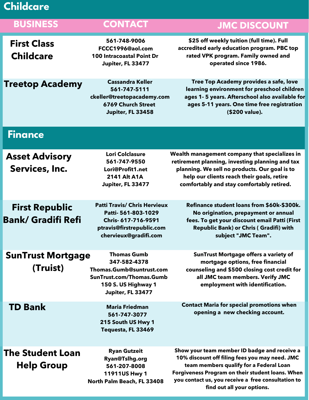# **Childcare**

| <b>BUSINESS</b>                                    | <b>CONTACT</b>                                                                                                                         | <b>JMC DISCOUNT</b>                                                                                                                                                                                                                                                                      |
|----------------------------------------------------|----------------------------------------------------------------------------------------------------------------------------------------|------------------------------------------------------------------------------------------------------------------------------------------------------------------------------------------------------------------------------------------------------------------------------------------|
| <b>First Class</b><br><b>Childcare</b>             | 561-748-9006<br>FCCC1996@aol.com<br><b>100 Intracoastal Point Dr</b><br>Jupiter, FL 33477                                              | \$25 off weekly tuition (full time). Full<br>accredited early education program. PBC top<br>rated VPK program. Family owned and<br>operated since 1986.                                                                                                                                  |
| <b>Treetop Academy</b>                             | <b>Cassandra Keller</b><br>561-747-5111<br>ckeller@treetopacademy.com<br>6769 Church Street<br>Jupiter, FL 33458                       | Tree Top Academy provides a safe, love<br>learning environment for preschool children<br>ages 1-5 years. Afterschool also available for<br>ages 5-11 years. One time free registration<br>(\$200 value).                                                                                 |
| <b>Finance</b>                                     |                                                                                                                                        |                                                                                                                                                                                                                                                                                          |
| <b>Asset Advisory</b><br>Services, Inc.            | <b>Lori Colclasure</b><br>561-747-9550<br>Lori@Profit1.net<br><b>2141 Alt A1A</b><br>Jupiter, FL 33477                                 | Wealth management company that specializes in<br>retirement planning, investing planning and tax<br>planning. We sell no products. Our goal is to<br>help our clients reach their goals, retire<br>comfortably and stay comfortably retired.                                             |
| <b>First Republic</b><br><b>Bank/ Gradifi Refi</b> | <b>Patti Travis/ Chris Hervieux</b><br>Patti-561-803-1029<br>Chris- 617-716-9591<br>ptravis@firstrepublic.com<br>chervieux@gradifi.com | Refinance student loans from \$60k-\$300k.<br>No origination, prepayment or annual<br>fees. To get your discount email Patti (First<br><b>Republic Bank) or Chris (Gradifi) with</b><br>subject "JMC Team".                                                                              |
| <b>SunTrust Mortgage</b><br>(Truist)               | <b>Thomas Gumb</b><br>347-582-4378<br>Thomas.Gumb@suntrust.com<br>SunTrust.com/Thomas.Gumb<br>150 S. US Highway 1<br>Jupiter, FL 33477 | <b>SunTrust Mortgage offers a variety of</b><br>mortgage options, free financial<br>counseling and \$500 closing cost credit for<br>all JMC team members. Verify JMC<br>employment with identification.                                                                                  |
| <b>TD Bank</b>                                     | <b>Maria Friedman</b><br>561-747-3077<br>215 South US Hwy 1<br>Tequesta, FL 33469                                                      | <b>Contact Maria for special promotions when</b><br>opening a new checking account.                                                                                                                                                                                                      |
| <b>The Student Loan</b><br><b>Help Group</b>       | <b>Ryan Gutzeit</b><br>Ryan@Tslhg.org<br>561-207-8008<br>11911US Hwy 1<br>North Palm Beach, FL 33408                                   | Show your team member ID badge and receive a<br>10% discount off filing fees you may need. JMC<br>team members qualify for a Federal Loan<br><b>Forgiveness Program on their student loans. When</b><br>you contact us, you receive a free consultation to<br>find out all your options. |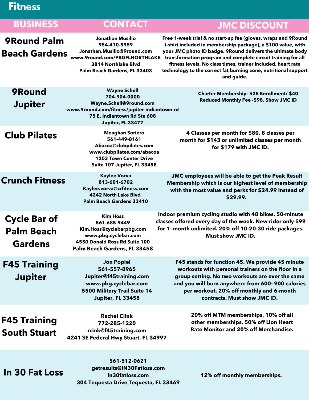# **Fitness**

| <b>BUSINESS</b>                                            | <b>CONTACT</b>                                                                                                                                                     | <b>JMC DISCOUNT</b>                                                                                                                                                                                                                                                                                                                                                                                          |
|------------------------------------------------------------|--------------------------------------------------------------------------------------------------------------------------------------------------------------------|--------------------------------------------------------------------------------------------------------------------------------------------------------------------------------------------------------------------------------------------------------------------------------------------------------------------------------------------------------------------------------------------------------------|
| <b>9Round Palm</b><br><b>Beach Gardens</b>                 | <b>Jonathan Musillo</b><br>954-410-5959<br>Jonathan.Musillo@9round.com<br>www.9round.com/PBGFLNORTHLAKE<br>3814 Northlake Blvd<br>Palm Beach Gardens, FL 33403     | Free 1-week trial & no start-up fee (gloves, wraps and 9Round<br>t-shirt included in membership package), a \$100 value, with<br>your JMC photo ID badge. 9Round delivers the ultimate body<br>transformation program and complete circuit training for all<br>fitness levels. No class times, trainer included, heart rate<br>technology to the correct fat burning zone, nutritional support<br>and guide. |
| 9Round<br><b>Jupiter</b>                                   | <b>Wayne Schell</b><br>704-904-0000<br>Wayne.Schell@9round.com<br>www.9round.com/fitness/jupiter-indiantown-rd<br>75 E. Indiantown Rd Ste 608<br>Jupiter, FL 33477 | Charter Membership- \$25 Enrollment/ \$40<br>Reduced Monthly Fee - \$98. Show JMC ID                                                                                                                                                                                                                                                                                                                         |
| <b>Club Pilates</b>                                        | <b>Meaghan Soriero</b><br>561-449-8161<br>Abacoa@clubpilates.com<br>www.clubpilates.com/abacoa<br><b>1203 Town Center Drive</b><br>Suite 107 Jupiter, FL 33458     | 4 Classes per month for \$80, 8 classes per<br>month for \$143 or unlimited classes per month<br>for \$179 with JMC ID.                                                                                                                                                                                                                                                                                      |
| <b>Crunch Fitness</b>                                      | <b>Kaylee Vorva</b><br>813-601-6702<br>Kaylee.vorva@crfitness.com<br>4242 North Lake Blvd<br><b>Palm Beach Gardens 33410</b>                                       | JMC employees will be able to get the Peak Result<br>Membership which is our highest level of membership<br>with the most value and perks for \$24.99 instead of<br>\$29.99.                                                                                                                                                                                                                                 |
| <b>Cycle Bar of</b><br><b>Palm Beach</b><br><b>Gardens</b> | <b>Kim Hoss</b><br>561-685-9449<br>Kim.Hoss@cyclebarpbg.com<br>www.pbg.cyclebar.com<br>4550 Donald Ross Rd Suite 100<br>Palm Beach Gardens, FL 33458               | Indoor premium cycling studio with 48 bikes. 50-minute<br>classes offered every day of the week. New rider only \$99<br>for 1- month unlimited. 20% off 10-20-30 ride packages.<br>Must show JMC ID.                                                                                                                                                                                                         |
| <b>F45 Training</b><br><b>Jupiter</b>                      | <b>Jon Popiel</b><br>561-557-8965<br>Jupiter@f45training.com<br>www.pbg.cyclebar.com<br>5500 Military Trail Suite 14<br>Jupiter, FL 33458                          | F45 stands for function 45. We provide 45 minute<br>workouts with personal trainers on the floor in a<br>group setting. No two workouts are ever the same<br>and you will burn anywhere from 600-900 calories<br>per workout. 20% off monthly and 6-month<br>contracts. Must show JMC ID.                                                                                                                    |
| <b>F45 Training</b><br><b>South Stuart</b>                 | <b>Rachel Clink</b><br>772-285-1220<br>rcink@f45training.com<br>4241 SE Federal Hwy Stuart, FL 34997                                                               | 20% off MTM memberships, 10% off all<br>other memberships. 50% off Lion Heart<br>Rate Monitor and 20% off Merchandise.                                                                                                                                                                                                                                                                                       |
|                                                            | 561-512-0621<br>getresults@IN30Fatloss.com                                                                                                                         |                                                                                                                                                                                                                                                                                                                                                                                                              |

**In 30 Fat Loss**

**In30fatloss.com 304 Tequesta Drive Tequesta, FL 33469**

**12% off monthly memberships.**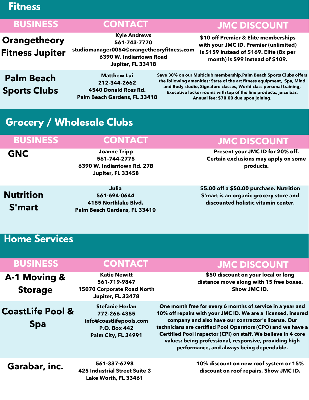### **Fitness**

**Orangetheory Fitness Jupiter**

**Kyle Andrews 561-743-7770 studiomanager0054@orangetheoryfitness.com 6390 W. Indiantown Road Jupiter, FL 33418**

### **BUSINESS CONTACT JMC DISCOUNT**

**\$10 off Premier & Elite memberships with your JMC ID. Premier (unlimited) is \$159 instead of \$169. Elite (8x per month) is \$99 instead of \$109.**

**Palm Beach Sports Clubs**

**Matthew Lui 212-344-2662 4540 Donald Ross Rd. Palm Beach Gardens, FL 33418**

**Save 30% on our Multiclub membership.Palm Beach Sports Clubs offers the following amenities: State of the art fitness equipment, Spa, Mind and Body studio, Signature classes, World class personal training, Executive locker rooms with top of the line products, juice bar. Annual fee: \$70.00 due upon joining.**

# **Grocery / Wholesale Clubs**

| <b>BUSINESS</b> | <b>CONTACT</b>                                                                         | <b>JMC DISCOUNT</b>                                                                   |
|-----------------|----------------------------------------------------------------------------------------|---------------------------------------------------------------------------------------|
| <b>GNC</b>      | <b>Joanne Tripp</b><br>561-744-2775<br>6390 W. Indiantown Rd. 27B<br>Jupiter, FL 33458 | Present your JMC ID for 20% off.<br>Certain exclusions may apply on some<br>products. |
|                 | Julia                                                                                  | \$5.00 off a \$50.00 purchase. Nutrition                                              |

|                  | Julia                        |
|------------------|------------------------------|
| <b>Nutrition</b> | 561-694-0644                 |
| S'mart           | 4155 Northlake Blvd.         |
|                  | Palm Beach Gardens, FL 33410 |

**S'mart is an organic grocery store and discounted holistic vitamin center.**

# **Home Services**

| <b>BUSINESS</b>                           | <b>CONTACT</b>                                                                                                  | <b>JMC DISCOUNT</b>                                                                                                                                                                                                                                                                                                                                                                                                       |
|-------------------------------------------|-----------------------------------------------------------------------------------------------------------------|---------------------------------------------------------------------------------------------------------------------------------------------------------------------------------------------------------------------------------------------------------------------------------------------------------------------------------------------------------------------------------------------------------------------------|
| <b>A-1 Moving &amp;</b><br><b>Storage</b> | <b>Katie Newitt</b><br>561-719-9847<br>15070 Corporate Road North<br>Jupiter, FL 33478                          | \$50 discount on your local or long<br>distance move along with 15 free boxes.<br>Show JMC ID.                                                                                                                                                                                                                                                                                                                            |
| <b>CoastLife Pool &amp;</b><br><b>Spa</b> | <b>Stefanie Herlan</b><br>772-266-4355<br>info@coastlifepools.com<br><b>P.O. Box 442</b><br>Palm City, FL 34991 | One month free for every 6 months of service in a year and<br>10% off repairs with your JMC ID. We are a licensed, insured<br>company and also have our contractor's license. Our<br>technicians are certified Pool Operators (CPO) and we have a<br>Certified Pool Inspector (CPI) on staff. We believe in 4 core<br>values: being professional, responsive, providing high<br>performance, and always being dependable. |
| Garabar, inc.                             | 561-337-6798<br><b>425 Industrial Street Suite 3</b><br>Lake Worth, FL 33461                                    | 10% discount on new roof system or 15%<br>discount on roof repairs. Show JMC ID.                                                                                                                                                                                                                                                                                                                                          |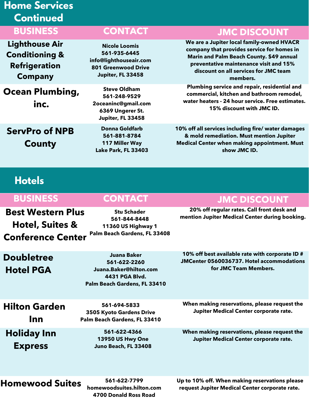| <b>Home Services</b><br><b>Continued</b>                                                     |                                                                                                                   |                                                                                                                                                                                                                                    |
|----------------------------------------------------------------------------------------------|-------------------------------------------------------------------------------------------------------------------|------------------------------------------------------------------------------------------------------------------------------------------------------------------------------------------------------------------------------------|
| <b>BUSINESS</b>                                                                              | <b>CONTACT</b>                                                                                                    | <b>JMC DISCOUNT</b>                                                                                                                                                                                                                |
| <b>Lighthouse Air</b><br><b>Conditioning &amp;</b><br><b>Refrigeration</b><br><b>Company</b> | <b>Nicole Loomis</b><br>561-935-6445<br>info@lighthouseair.com<br><b>801 Greenwood Drive</b><br>Jupiter, FL 33458 | We are a Jupiter local family-owned HVACR<br>company that provides service for homes in<br>Marin and Palm Beach County. \$49 annual<br>preventative maintenance visit and 15%<br>discount on all services for JMC team<br>members. |
| <b>Ocean Plumbing,</b><br>inc.                                                               | <b>Steve Oldham</b><br>561-248-9529<br>2oceaninc@gmail.com<br>6369 Ungerer St.<br>Jupiter, FL 33458               | Plumbing service and repair, residential and<br>commercial, kitchen and bathroom remodel,<br>water heaters - 24 hour service. Free estimates.<br>15% discount with JMC ID.                                                         |
| <b>ServPro of NPB</b><br><b>County</b>                                                       | <b>Donna Goldfarb</b><br>561-881-8784<br>117 Miller Way<br>Lake Park, FL 33403                                    | 10% off all services including fire/ water damages<br>& mold remediation. Must mention Jupiter<br><b>Medical Center when making appointment. Must</b><br>show JMC ID.                                                              |

# **Hotels**

| <b>BUSINESS</b>                                                                    | <b>CONTACT</b>                                                                                                 | <b>JMC DISCOUNT</b>                                                                                                   |
|------------------------------------------------------------------------------------|----------------------------------------------------------------------------------------------------------------|-----------------------------------------------------------------------------------------------------------------------|
| <b>Best Western Plus</b><br><b>Hotel, Suites &amp;</b><br><b>Conference Center</b> | <b>Stu Schader</b><br>561-844-8448<br>11360 US Highway 1<br>Palm Beach Gardens, FL 33408                       | 20% off regular rates. Call front desk and<br>mention Jupiter Medical Center during booking.                          |
| <b>Doubletree</b><br><b>Hotel PGA</b>                                              | <b>Juana Baker</b><br>561-622-2260<br>Juana.Baker@hilton.com<br>4431 PGA Blvd.<br>Palm Beach Gardens, FL 33410 | 10% off best available rate with corporate ID #<br>JMCenter 0560036737. Hotel accommodations<br>for JMC Team Members. |
| <b>Hilton Garden</b><br><u>Inn</u>                                                 | 561-694-5833<br>3505 Kyoto Gardens Drive<br>Palm Beach Gardens, FL 33410                                       | When making reservations, please request the<br><b>Jupiter Medical Center corporate rate.</b>                         |
| <b>Holiday Inn</b><br><b>Express</b>                                               | 561-622-4366<br>13950 US Hwy One<br>Juno Beach, FL 33408                                                       | When making reservations, please request the<br><b>Jupiter Medical Center corporate rate.</b>                         |

### **Homewood Suites**

**561-622-7799 homewoodsuites.hilton.com 4700 Donald Ross Road**

**Up to 10% off. When making reservations please request Jupiter Medical Center corporate rate.**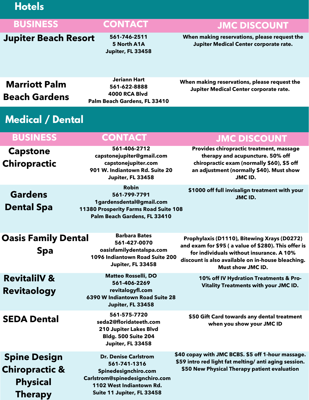### **Hotels**

| <b>BUSINESS</b>                              | <b>CONTACT</b>                                                                       | <b>JMC DISCOUNT</b>                                                                                                        |
|----------------------------------------------|--------------------------------------------------------------------------------------|----------------------------------------------------------------------------------------------------------------------------|
| <b>Jupiter Beach Resort</b>                  | 561-746-2511<br>5 North A1A<br>Jupiter, FL 33458                                     | When making reservations, please request the<br><b>Jupiter Medical Center corporate rate.</b>                              |
| <b>Marriott Palm</b><br><b>Beach Gardens</b> | <b>Jeriann Hart</b><br>561-622-8888<br>4000 RCA Blvd<br>Palm Beach Gardens, FL 33410 | When making reservations, please request the<br>Jupiter Medical Center corporate rate.                                     |
| <b>Medical / Dental</b>                      |                                                                                      |                                                                                                                            |
| <b>BUSINESS</b>                              | <b>CONTACT</b>                                                                       | <b>JMC DISCOUNT</b>                                                                                                        |
| <b>Capstone</b><br><b>Chiropractic</b>       | 561-406-2712<br>capstonejupiter@gmail.com<br>capstonejupiter.com                     | Provides chiropractic treatment, massage<br>therapy and acupuncture. 50% off<br>chiropractic exam (normally \$60), \$5 off |

**capstonejupiter.com 901 W. Indiantown Rd. Suite 20 Jupiter, FL 33458**

**Gardens Dental Spa Robin 561-799-7791 1gardensdental@gmail.com 11380 Prosperity Farms Road Suite 108 Palm Beach Gardens, FL 33410 \$1000 off full invisalign treatment with your**

**Oasis Family Dental Spa**

**561-427-0070 oasisfamilydentalspa.com 1096 Indiantown Road Suite 200 Jupiter, FL 33458**

**Barbara Bates**

**RevitalilV & Revitaology**

**SEDA Dental**

**Spine Design Chiropractic & Physical Therapy**

**Matteo Rosselli, DO 561-406-2269 revitalogyfl.com 6390 W Indiantown Road Suite 28 Jupiter, FL 33458**

**561-575-7720 seda2@floridateeth.com 210 Jupiter Lakes Blvd Bldg. 500 Suite 204 Jupiter, FL 33458**

**Dr. Denise Carlstrom 561-741-1316 Spinedesignchiro.com Carlstrom@spinedesignchiro.com 1102 West Indiantown Rd. Suite 11 Jupiter, FL 33458**

**Prophylaxis (D1110), Bitewing Xrays (D0272) and exam for \$95 ( a value of \$280). This offer is for individuals without insurance. A 10% discount is also available on in-house bleaching. Must show JMC ID.**

**an adjustment (normally \$40). Must show JMC ID.**

**JMC ID.**

**10% off IV Hydration Treatments & Pro-Vitality Treatments with your JMC ID.**

**\$50 Gift Card towards any dental treatment when you show your JMC ID**

**\$40 copay with JMC BCBS. \$5 off 1-hour massage. \$59 intro red light fat melting/ anti aging session. \$50 New Physical Therapy patient evaluation**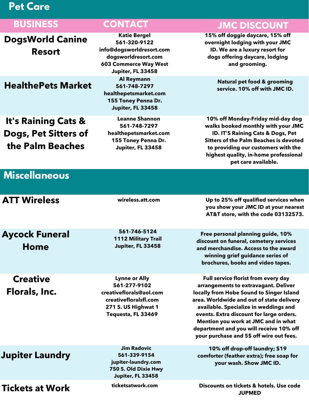# **Pet Care**

| <b>BUSINESS</b>                                                            | <b>CONTACT</b>                                                                                                                              | <b>JMC DISCOUNT</b>                                                                                                                                                                                                                                                  |
|----------------------------------------------------------------------------|---------------------------------------------------------------------------------------------------------------------------------------------|----------------------------------------------------------------------------------------------------------------------------------------------------------------------------------------------------------------------------------------------------------------------|
| <b>DogsWorld Canine</b><br><b>Resort</b>                                   | <b>Katie Bergel</b><br>561-320-9122<br>info@dogsworldresort.com<br>dogsworldresort.com<br><b>603 Commerce Way West</b><br>Jupiter, FL 33458 | 15% off doggie daycare, 15% off<br>overnight lodging with your JMC<br>ID. We are a luxury resort for<br>dogs offering daycare, lodging<br>and grooming.                                                                                                              |
| <b>HealthePets Market</b>                                                  | <b>Al Reymann</b><br>561-748-7297<br>healthepetsmarket.com<br>155 Toney Penna Dr.<br>Jupiter, FL 33458                                      | <b>Natural pet food &amp; grooming</b><br>service. 10% off with JMC ID.                                                                                                                                                                                              |
| <b>It's Raining Cats &amp;</b><br>Dogs, Pet Sitters of<br>the Palm Beaches | <b>Leanne Shannon</b><br>561-748-7297<br>healthepetsmarket.com<br>155 Toney Penna Dr.<br>Jupiter, FL 33458                                  | 10% off Monday-Friday mid-day dog<br>walks booked monthly with your JMC<br>ID. IT'S Raining Cats & Dogs, Pet<br><b>Sitters of the Palm Beaches is devoted</b><br>to providing our customers with the<br>highest quality, in-home professional<br>pet care available. |
| <b>Miscellaneous</b>                                                       |                                                                                                                                             |                                                                                                                                                                                                                                                                      |

| <b>ATT Wireless</b>                  | wireless.att.com                                                                                                                      | Up to 25% off qualified services when<br>you show your JMC ID at your nearest<br>AT&T store, with the code 03132573.                                                                                                                                                                                                                                                                    |
|--------------------------------------|---------------------------------------------------------------------------------------------------------------------------------------|-----------------------------------------------------------------------------------------------------------------------------------------------------------------------------------------------------------------------------------------------------------------------------------------------------------------------------------------------------------------------------------------|
| <b>Aycock Funeral</b><br><b>Home</b> | 561-746-5124<br><b>1112 Military Trail</b><br>Jupiter, FL 33458                                                                       | Free personal planning guide, 10%<br>discount on funeral, cemetery services<br>and merchandise. Access to the award<br>winning grief guidance series of<br>brochures, books and video tapes.                                                                                                                                                                                            |
| <b>Creative</b><br>Florals, Inc.     | <b>Lynne or Ally</b><br>561-277-9102<br>creativeflorals@aol.com<br>creativefloralsfl.com<br>271 S. US Highwat 1<br>Tequesta, FL 33469 | Full service florist from every day<br>arrangements to extravagant. Deliver<br>locally from Hobe Sound to Singer Island<br>area. Worldwide and out of state delivery<br>available. Specialize in weddings and<br>events. Extra discount for large orders.<br>Mention you work at JMC and in what<br>department and you will receive 10% off<br>your purchase and 5\$ off wire out fees. |
| <b>Jupiter Laundry</b>               | <b>Jim Radovic</b><br>561-339-9154<br>jupiter-laundry.com<br>750 S. Old Dixie Hwy<br>Jupiter, FL 33458                                | 10% off drop-off laundry; \$19<br>comforter (feather extra); free soap for<br>your wash. Show JMC ID.                                                                                                                                                                                                                                                                                   |
| <b>Tickets at Work</b>               | ticketsatwork.com                                                                                                                     | Discounts on tickets & hotels. Use code<br><b>JUPMED</b>                                                                                                                                                                                                                                                                                                                                |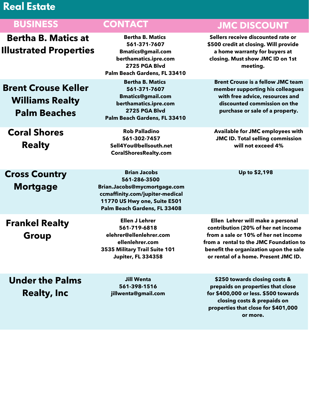# **Real Estate**

**Bertha B. Matics at Illustrated Properties**

**Brent Crouse Keller Williams Realty Palm Beaches**

**Coral Shores Realty**

**Cross Country Mortgage**

**Bertha B. Matics 561-371-7607 Bmatics@gmail.com berthamatics.ipre.com 2725 PGA Blvd Palm Beach Gardens, FL 33410**

**Bertha B. Matics 561-371-7607 Bmatics@gmail.com berthamatics.ipre.com 2725 PGA Blvd Palm Beach Gardens, FL 33410**

**Rob Palladino 561-302-7457 Sell4You@bellsouth.net CoralShoresRealty.com**

**Brian Jacobs 561-286-3500 Brian.Jacobs@mycmortgage.com ccmaffinity.com/jupiter-medical 11770 US Hwy one, Suite E501 Palm Beach Gardens, FL 33408**

**Frankel Realty Group**

**Ellen J Lehrer 561-719-6818 elehrer@ellenlehrer.com ellenlehrer.com 3535 Military Trail Suite 101 Jupiter, FL 334358**

**Under the Palms Realty, Inc**

**Jill Wenta 561-398-1516 jillwenta@gmail.com**

### **BUSINESS CONTACT JMC DISCOUNT**

**Sellers receive discounted rate or \$500 credit at closing. Will provide a home warranty for buyers at closing. Must show JMC ID on 1st meeting.**

**Brent Crouse is a fellow JMC team member supporting his colleagues with free advice, resources and discounted commission on the purchase or sale of a property.**

**Available for JMC employees with JMC ID. Total selling commission will not exceed 4%**

**Up to \$2,198**

**Ellen Lehrer will make a personal contribution (20% of her net income from a sale or 10% of her net income from a rental to the JMC Foundation to benefit the organization upon the sale or rental of a home. Present JMC ID.**

**\$250 towards closing costs & prepaids on properties that close for \$400,000 or less. \$500 towards closing costs & prepaids on properties that close for \$401,000 or more.**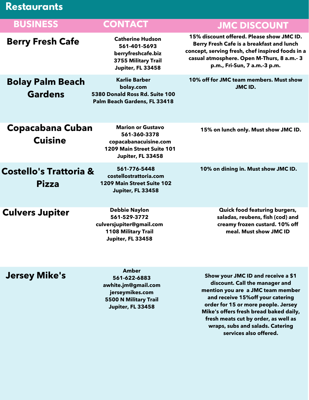# **Restaurants**

| <b>BUSINESS</b>                                   | <b>CONTACT</b>                                                                                                       | <b>JMC DISCOUNT</b>                                                                                                                                                                                                                                                                                         |
|---------------------------------------------------|----------------------------------------------------------------------------------------------------------------------|-------------------------------------------------------------------------------------------------------------------------------------------------------------------------------------------------------------------------------------------------------------------------------------------------------------|
| <b>Berry Fresh Cafe</b>                           | <b>Catherine Hudson</b><br>561-401-5693<br>berryfreshcafe.biz<br>3755 Military Trail<br>Jupiter, FL 33458            | 15% discount offered. Please show JMC ID.<br>Berry Fresh Cafe is a breakfast and lunch<br>concept, serving fresh, chef inspired foods in a<br>casual atmosphere. Open M-Thurs, 8 a.m.- 3<br>p.m., Fri-Sun, 7 a.m.-3 p.m.                                                                                    |
| <b>Bolay Palm Beach</b><br><b>Gardens</b>         | <b>Karlie Barber</b><br>bolay.com<br>5380 Donald Ross Rd. Suite 100<br>Palm Beach Gardens, FL 33418                  | 10% off for JMC team members. Must show<br>JMC ID.                                                                                                                                                                                                                                                          |
| Copacabana Cuban<br><b>Cuisine</b>                | <b>Marion or Gustavo</b><br>561-360-3378<br>copacabanacuisine.com<br>1209 Main Street Suite 101<br>Jupiter, FL 33458 | 15% on lunch only. Must show JMC ID.                                                                                                                                                                                                                                                                        |
| <b>Costello's Trattoria &amp;</b><br><b>Pizza</b> | 561-776-5448<br>costellostrattoria.com<br>1209 Main Street Suite 102<br>Jupiter, FL 33458                            | 10% on dining in. Must show JMC ID.                                                                                                                                                                                                                                                                         |
| <b>Culvers Jupiter</b>                            | <b>Debbie Naylon</b><br>561-529-3772<br>culversjupiter@gmail.com<br>1108 Military Trail<br>Jupiter, FL 33458         | <b>Quick food featuring burgers,</b><br>saladas, reubens, fish (cod) and<br>creamy frozen custard. 10% off<br>meal. Must show JMC ID                                                                                                                                                                        |
| <b>Jersey Mike's</b>                              | <b>Amber</b><br>561-622-6883<br>awhite.jm@gmail.com<br>jerseymikes.com<br>5500 N Military Trail<br>Jupiter, FL 33458 | Show your JMC ID and receive a \$1<br>discount. Call the manager and<br>mention you are a JMC team member<br>and receive 15% off your catering<br>order for 15 or more people. Jersey<br>Mike's offers fresh bread baked daily,<br>fresh meats cut by order, as well as<br>wraps, subs and salads. Catering |

**services also offered.**